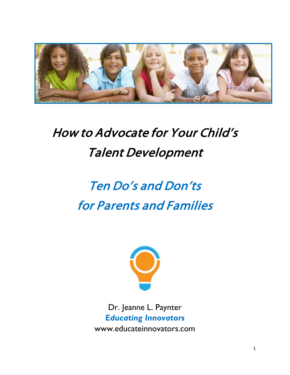

## How to Advocate for Your Child's Talent Development

# Ten Do's and Don'ts for Parents and Families



Dr. Jeanne L. Paynter *Educating Innovators* www.educateinnovators.com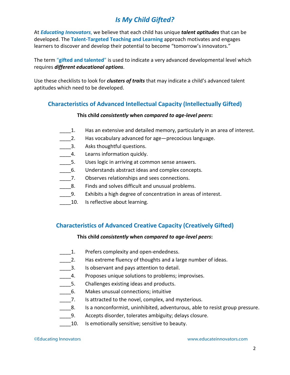### *Is My Child Gifted?*

At *Educating Innovators*, we believe that each child has unique *talent aptitudes* that can be developed. The **Talent-Targeted Teaching and Learning** approach motivates and engages learners to discover and develop their potential to become "tomorrow's innovators."

The term "**gifted and talented**" is used to indicate a very advanced developmental level which requires *different educational options*.

Use these checklists to look for *clusters of traits* that may indicate a child's advanced talent aptitudes which need to be developed.

#### **Characteristics of Advanced Intellectual Capacity (Intellectually Gifted)**

#### **This child** *consistently* **when** *compared to age-level peers***:**

- 1. Has an extensive and detailed memory, particularly in an area of interest.
- 2. Has vocabulary advanced for age—precocious language.
- 1. Asks thoughtful questions.
- 4. Learns information quickly.
- \_\_\_\_5. Uses logic in arriving at common sense answers.
- \_\_\_\_6. Understands abstract ideas and complex concepts.
- \_\_\_\_7. Observes relationships and sees connections.
- **\_\_\_\_\_8.** Finds and solves difficult and unusual problems.
- \_\_\_\_9. Exhibits a high degree of concentration in areas of interest.
- 10. Is reflective about learning.

#### **Characteristics of Advanced Creative Capacity (Creatively Gifted)**

#### **This child** *consistently* **when** *compared to age-level peers***:**

- **\_\_\_\_1.** Prefers complexity and open-endedness.
- 2. Has extreme fluency of thoughts and a large number of ideas.
- \_\_\_\_3. Is observant and pays attention to detail.
- 4. Proposes unique solutions to problems; improvises.
- 5. Challenges existing ideas and products.
- \_\_\_\_6. Makes unusual connections; intuitive
- 7. Is attracted to the novel, complex, and mysterious.
- \_\_\_\_8. Is a nonconformist, uninhibited, adventurous, able to resist group pressure.
- \_\_\_\_9. Accepts disorder, tolerates ambiguity; delays closure.
- 10. Is emotionally sensitive; sensitive to beauty.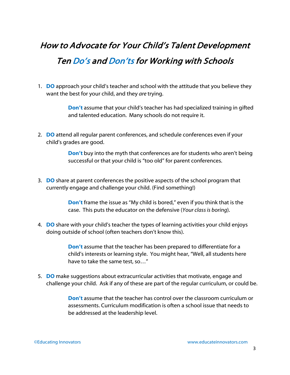### How to Advocate for Your Child's Talent Development Ten Do's and Don'ts for Working with Schools

1. **DO** approach your child's teacher and school with the attitude that you believe they want the best for your child, and they *are* trying.

> **Don't** assume that your child's teacher has had specialized training in gifted and talented education. Many schools do not require it.

2. **DO** attend all regular parent conferences, and schedule conferences even if your child's grades are good.

> **Don't** buy into the myth that conferences are for students who aren't being successful or that your child is "too old" for parent conferences.

3. **DO** share at parent conferences the positive aspects of the school program that currently engage and challenge your child. (Find something!)

> **Don't** frame the issue as "My child is bored," even if you think that is the case. This puts the educator on the defensive (*Your class is boring*).

4. **DO** share with your child's teacher the types of learning activities your child enjoys doing outside of school (often teachers don't know this).

> **Don't** assume that the teacher has been prepared to differentiate for a child's interests or learning style. You might hear, "Well, all students here have to take the same test, so…"

5. **DO** make suggestions about extracurricular activities that motivate, engage and challenge your child. Ask if any of these are part of the regular curriculum, or could be.

> **Don't** assume that the teacher has control over the classroom curriculum or assessments. Curriculum modification is often a school issue that needs to be addressed at the leadership level.